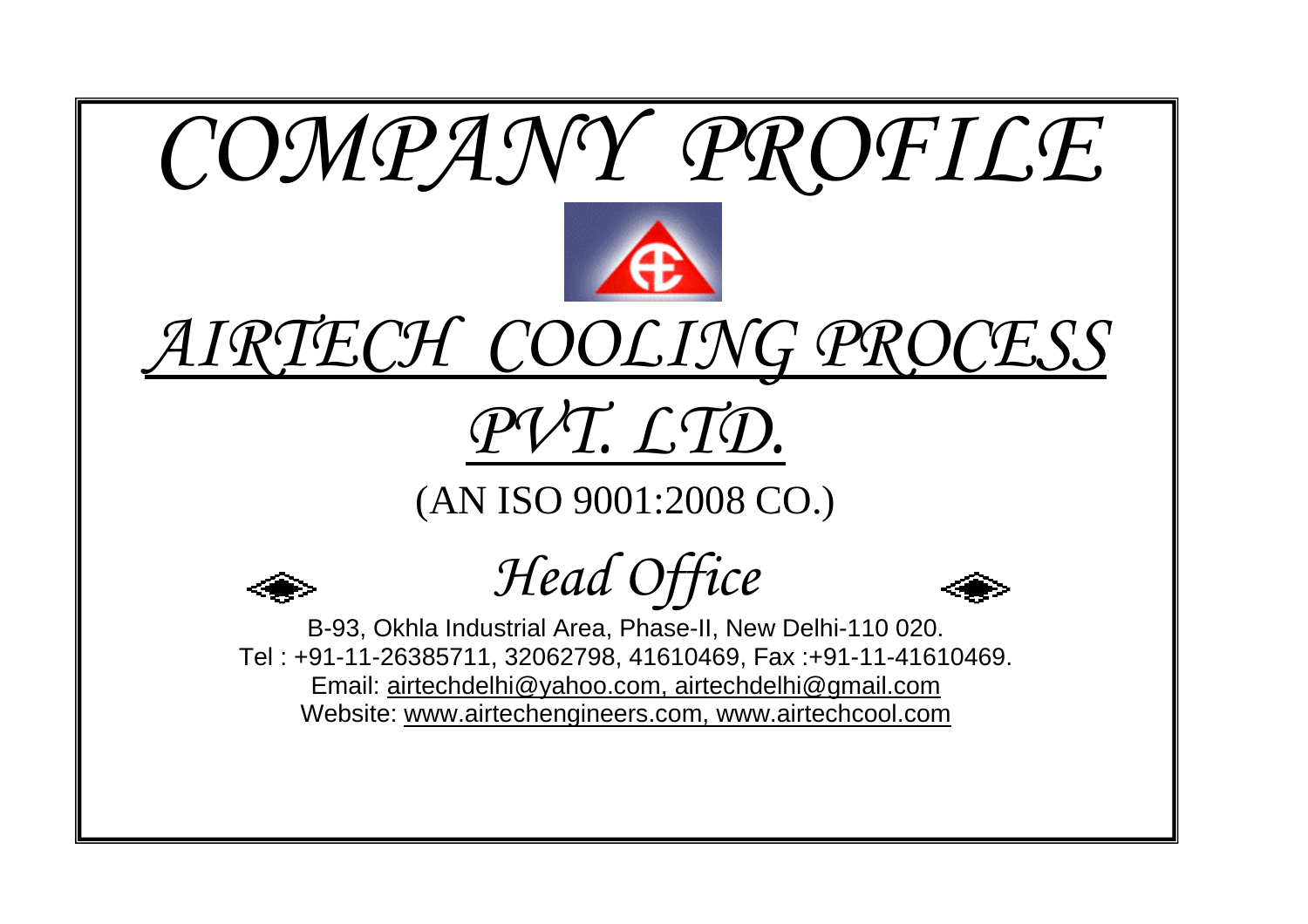





# *PVT. LTD.*

(AN ISO 9001:2008 CO.)



*Head Office* 



B-93, Okhla Industrial Area, Phase-II, New Delhi-110 020. Tel : +91-11-26385711, 32062798, 41610469, Fax :+91-11-41610469. Email: airtechdelhi@yahoo.com, airtechdelhi@gmail.com Website: www.airtechengineers.com, www.airtechcool.com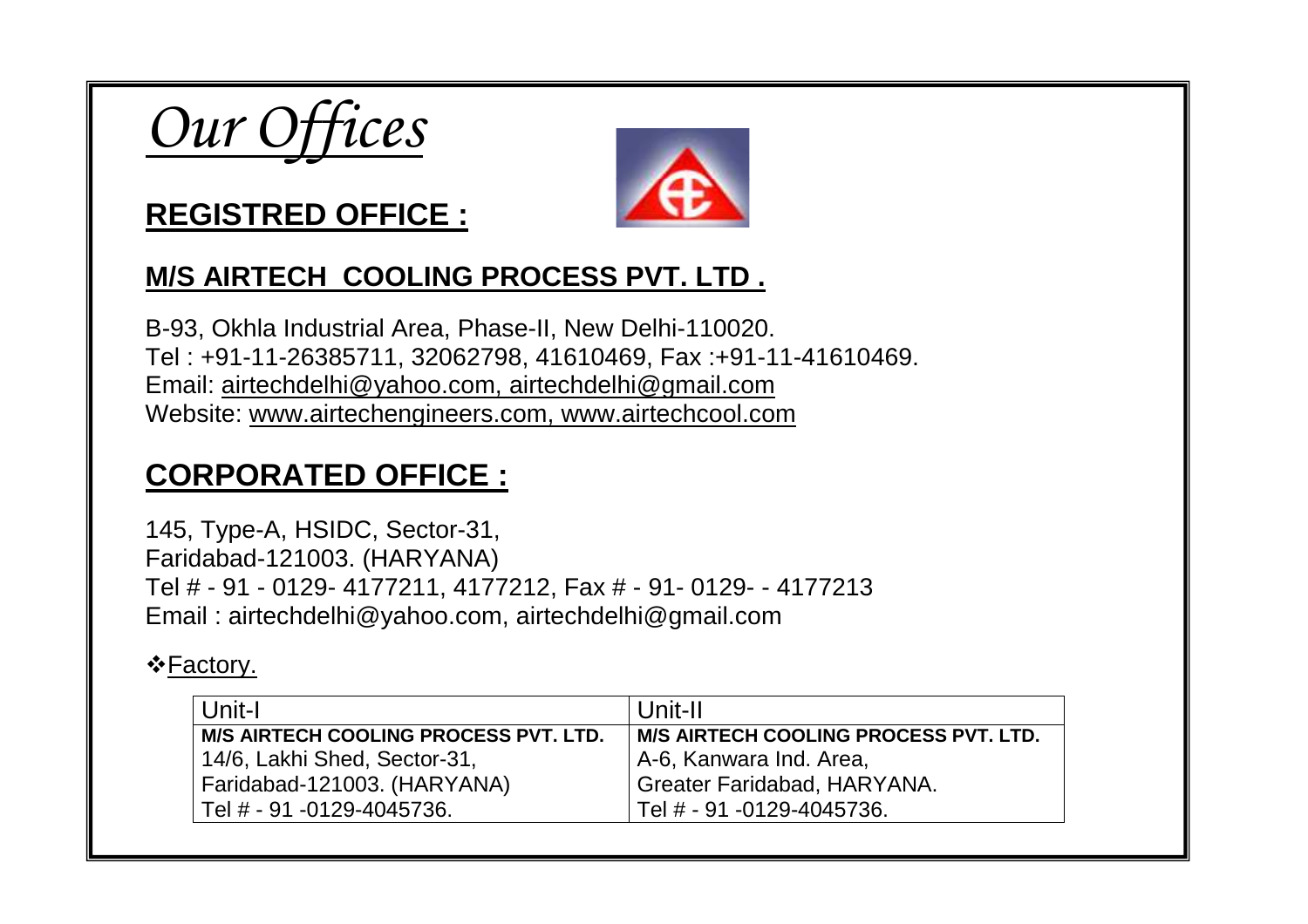



### **REGISTRED OFFICE :**

#### **M/S AIRTECH COOLING PROCESS PVT. LTD .**

B-93, Okhla Industrial Area, Phase-II, New Delhi-110020. Tel : +91-11-26385711, 32062798, 41610469, Fax :+91-11-41610469. Email: airtechdelhi@yahoo.com, airtechdelhi@gmail.com Website: www.airtechengineers.com, www.airtechcool.com

### **CORPORATED OFFICE :**

145, Type-A, HSIDC, Sector-31, Faridabad-121003. (HARYANA) Tel # - 91 - 0129- 4177211, 4177212, Fax # - 91- 0129- - 4177213Email : airtechdelhi@yahoo.com, airtechdelhi@gmail.com

#### ❖<u>Factory.</u>

| Unit-I                                       | Unit-II                                  |
|----------------------------------------------|------------------------------------------|
| <b>M/S AIRTECH COOLING PROCESS PVT. LTD.</b> | M/S AIRTECH COOLING PROCESS PVT. LTD.    |
| 14/6, Lakhi Shed, Sector-31,                 | A-6, Kanwara Ind. Area,                  |
| Faridabad-121003. (HARYANA)                  | <sup>I</sup> Greater Faridabad, HARYANA. |
| Tel # - 91 -0129-4045736.                    | Tel # - 91 -0129-4045736.                |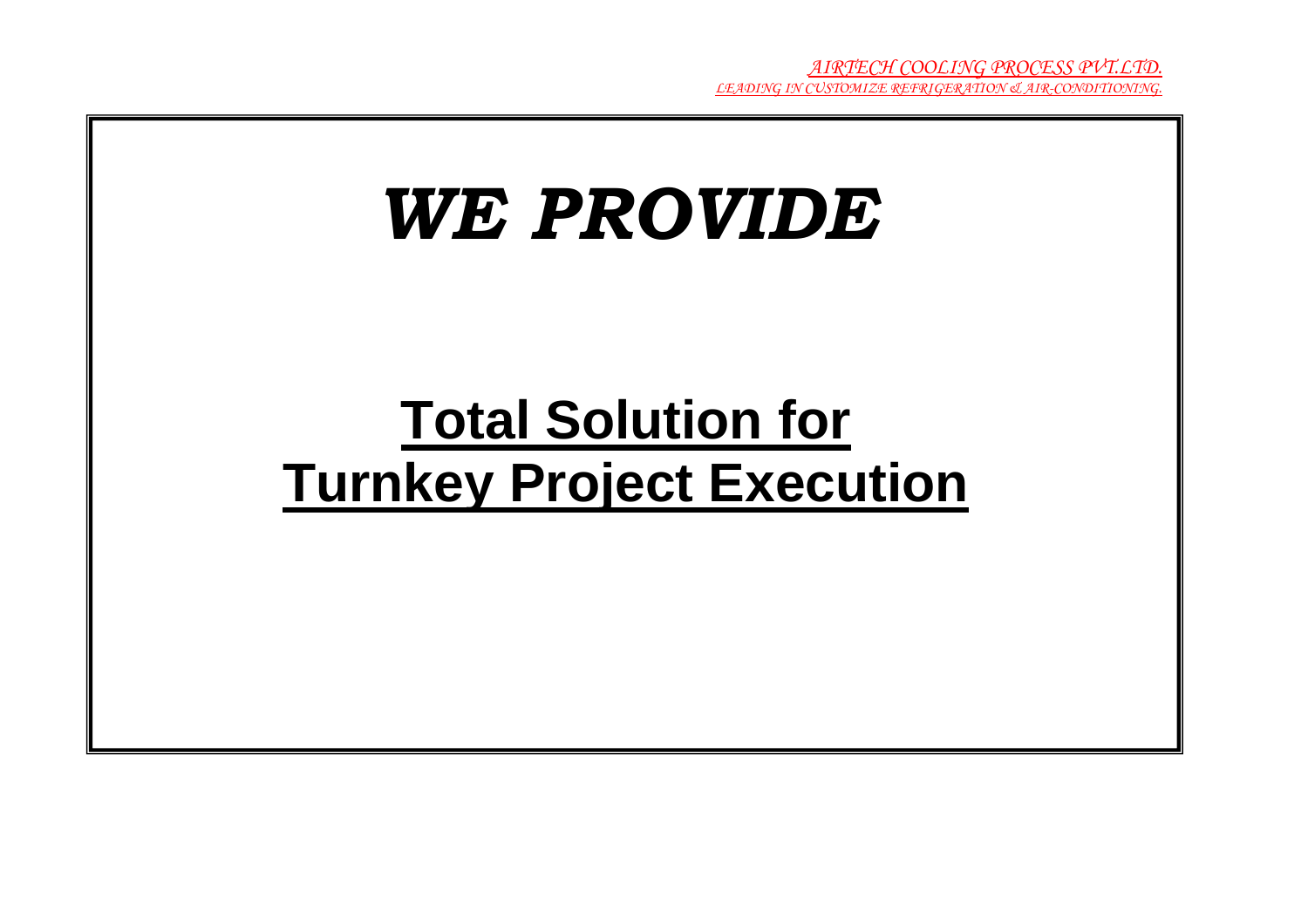# *WE PROVIDE*

# **Total Solution for Turnkey Project Execution**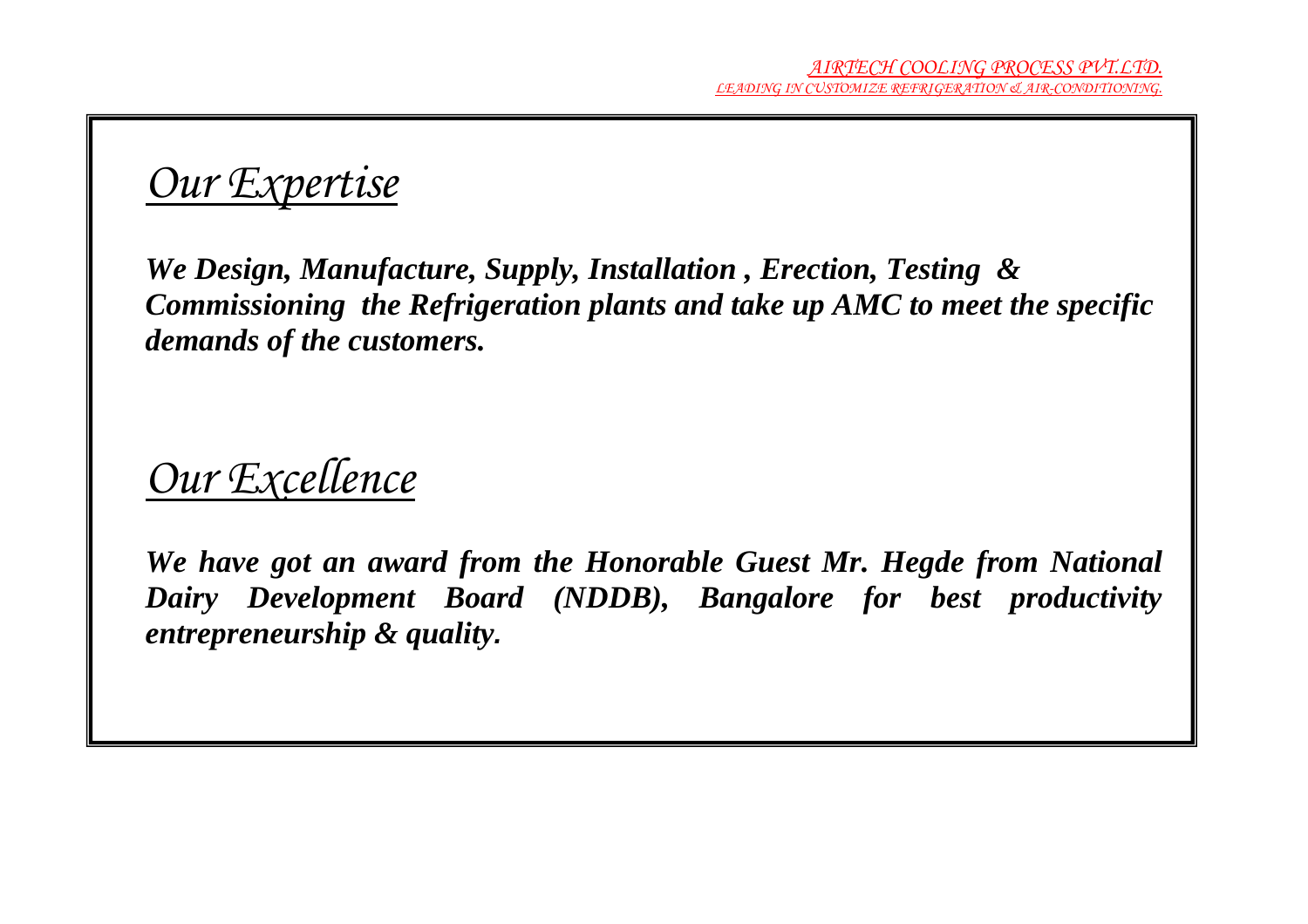# *Our Expertise*

*We Design, Manufacture, Supply, Installation , Erection, Testing & Commissioning the Refrigeration plants and take up AMC to meet the specific demands of the customers.* 

## *Our Excellence*

*We have got an award from the Honorable Guest Mr. Hegde from National Dairy Development Board (NDDB), Bangalore for best productivity entrepreneurship & quality***.**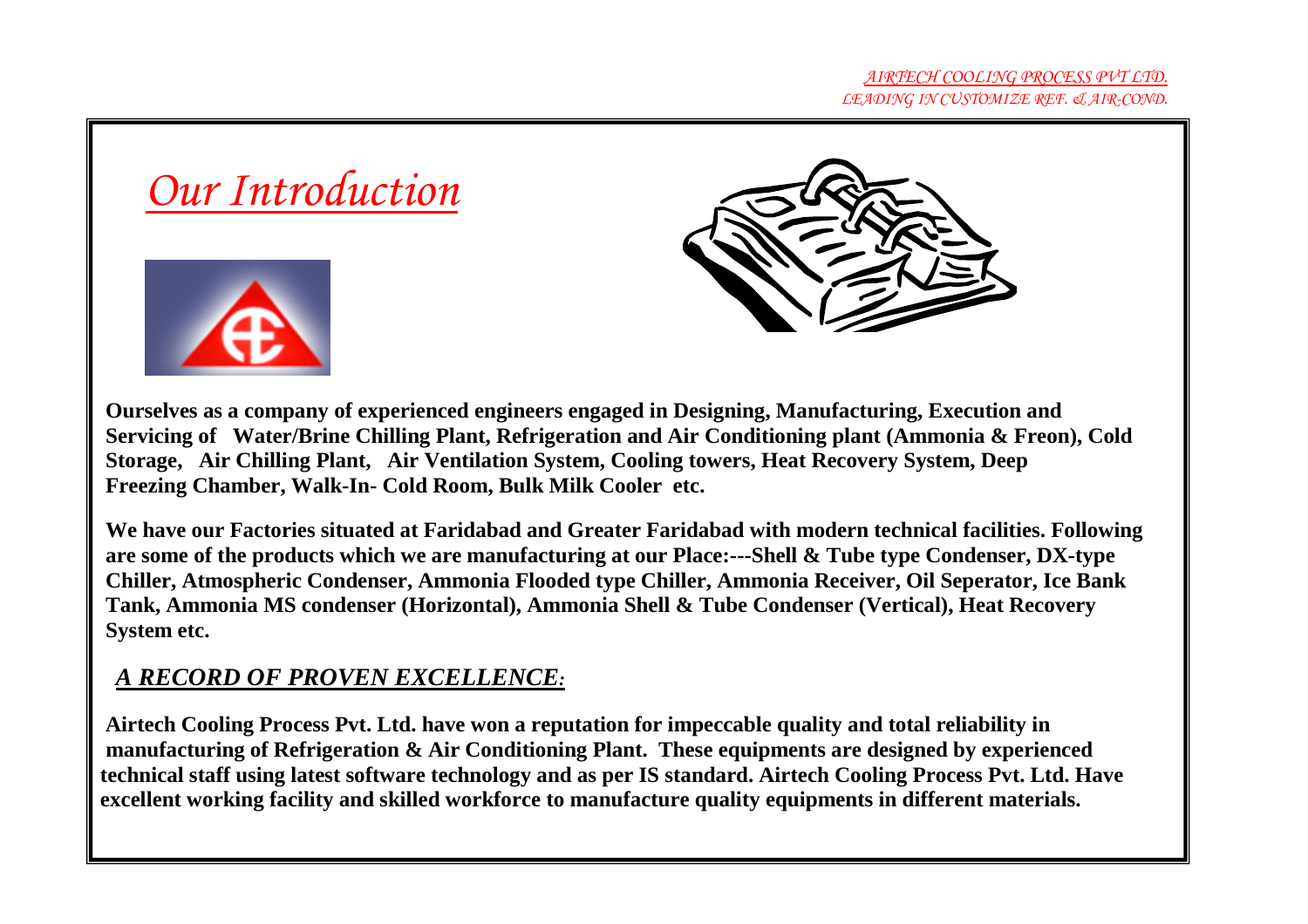



 **Ourselves as a company of experienced engineers engaged in Designing, Manufacturing, Execution and Servicing of Water/Brine Chilling Plant, Refrigeration and Air Conditioning plant (Ammonia & Freon), Cold Storage, Air Chilling Plant, Air Ventilation System, Cooling towers, Heat Recovery System, Deep Freezing Chamber, Walk-In- Cold Room, Bulk Milk Cooler etc.** 

 **We have our Factories situated at Faridabad and Greater Faridabad with modern technical facilities. Following are some of the products which we are manufacturing at our Place:---Shell & Tube type Condenser, DX-type Chiller, Atmospheric Condenser, Ammonia Flooded type Chiller, Ammonia Receiver, Oil Seperator, Ice Bank Tank, Ammonia MS condenser (Horizontal), Ammonia Shell & Tube Condenser (Vertical), Heat Recovery System etc.** 

#### *A RECORD OF PROVEN EXCELLENCE:*

 **Airtech Cooling Process Pvt. Ltd. have won a reputation for impeccable quality and total reliability in manufacturing of Refrigeration & Air Conditioning Plant. These equipments are designed by experienced technical staff using latest software technology and as per IS standard. Airtech Cooling Process Pvt. Ltd. Have excellent working facility and skilled workforce to manufacture quality equipments in different materials.**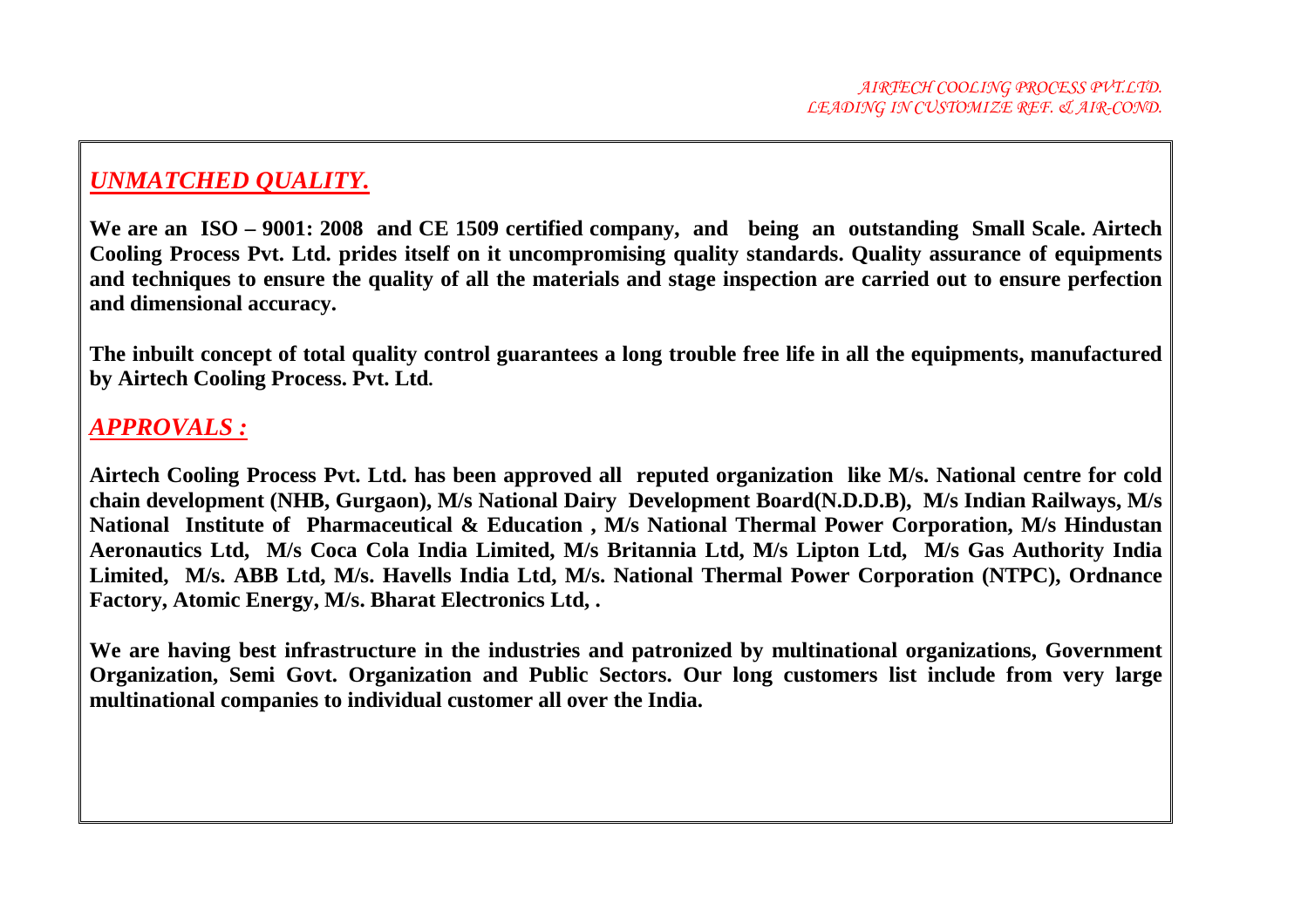#### *UNMATCHED QUALITY.*

**We are an ISO – 9001: 2008 and CE 1509 certified company, and being an outstanding Small Scale. Airtech Cooling Process Pvt. Ltd. prides itself on it uncompromising quality standards. Quality assurance of equipments and techniques to ensure the quality of all the materials and stage inspection are carried out to ensure perfection and dimensional accuracy.** 

**The inbuilt concept of total quality control guarantees a long trouble free life in all the equipments, manufactured by Airtech Cooling Process. Pvt. Ltd.** 

#### *APPROVALS :*

**Airtech Cooling Process Pvt. Ltd. has been approved all reputed organization like M/s. National centre for cold chain development (NHB, Gurgaon), M/s National Dairy Development Board(N.D.D.B), M/s Indian Railways, M/s National Institute of Pharmaceutical & Education , M/s National Thermal Power Corporation, M/s Hindustan Aeronautics Ltd, M/s Coca Cola India Limited, M/s Britannia Ltd, M/s Lipton Ltd, M/s Gas Authority India Limited, M/s. ABB Ltd, M/s. Havells India Ltd, M/s. National Thermal Power Corporation (NTPC), Ordnance Factory, Atomic Energy, M/s. Bharat Electronics Ltd, .** 

We are having best infrastructure in the industries and patronized by multinational organizations, Government **Organization, Semi Govt. Organization and Public Sectors. Our long customers list include from very large multinational companies to individual customer all over the India.**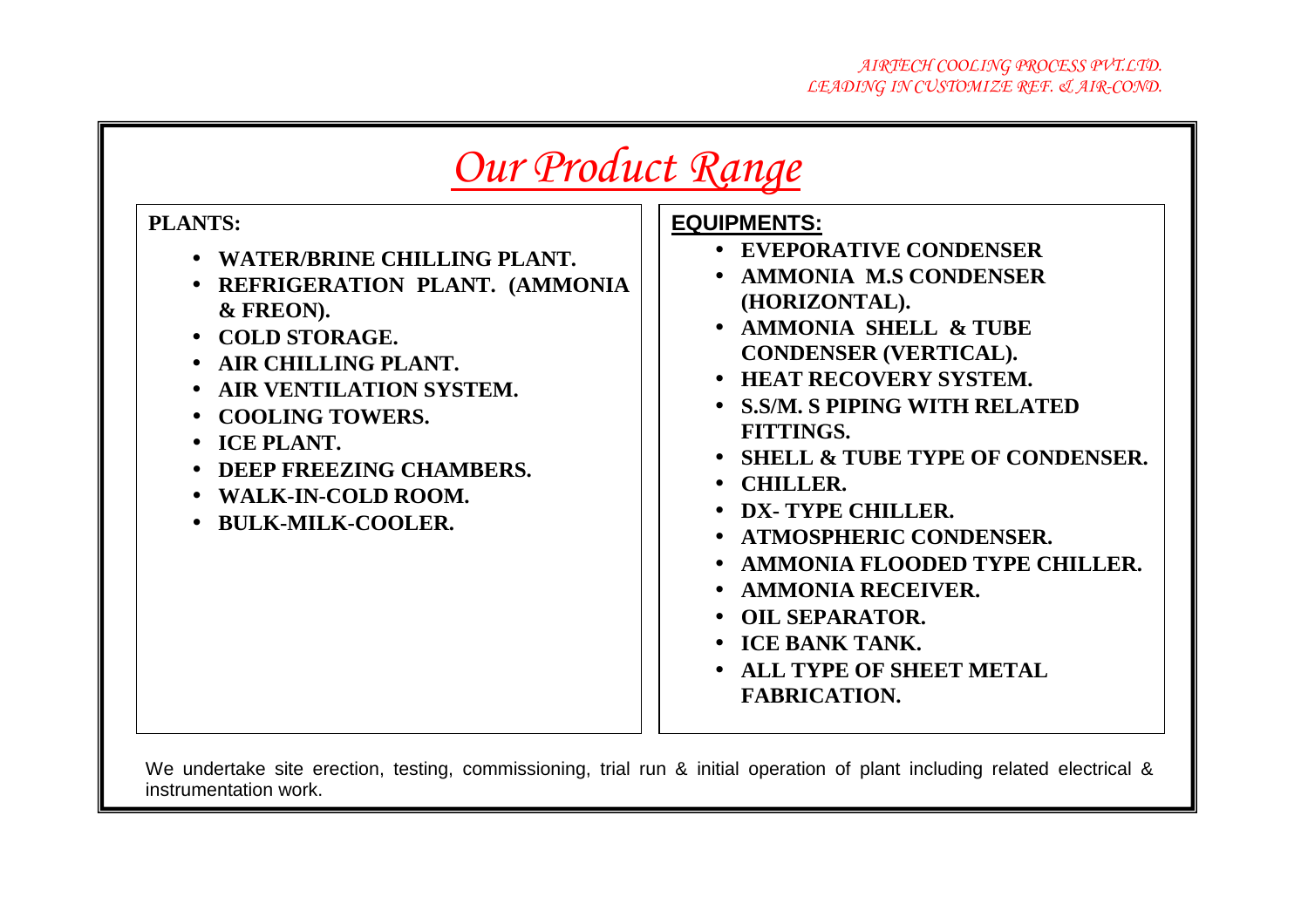| Our Product Range                                                                                                                                                                                                                                                                         |                                                                                                                                                                                                                                                                                                                                                                                                                                                                                                                                                                |  |
|-------------------------------------------------------------------------------------------------------------------------------------------------------------------------------------------------------------------------------------------------------------------------------------------|----------------------------------------------------------------------------------------------------------------------------------------------------------------------------------------------------------------------------------------------------------------------------------------------------------------------------------------------------------------------------------------------------------------------------------------------------------------------------------------------------------------------------------------------------------------|--|
| <b>PLANTS:</b><br>• WATER/BRINE CHILLING PLANT.<br>• REFRIGERATION PLANT. (AMMONIA<br>& FREON).<br>• COLD STORAGE.<br>• AIR CHILLING PLANT.<br>• AIR VENTILATION SYSTEM.<br>• COOLING TOWERS.<br>• ICE PLANT.<br>• DEEP FREEZING CHAMBERS.<br>• WALK-IN-COLD ROOM.<br>• BULK-MILK-COOLER. | <b>EQUIPMENTS:</b><br>• EVEPORATIVE CONDENSER<br>• AMMONIA M.S CONDENSER<br>(HORIZONTAL).<br>• AMMONIA SHELL & TUBE<br><b>CONDENSER (VERTICAL).</b><br><b>HEAT RECOVERY SYSTEM.</b><br>• S.S/M. S PIPING WITH RELATED<br><b>FITTINGS.</b><br><b>SHELL &amp; TUBE TYPE OF CONDENSER.</b><br><b>CHILLER.</b><br>DX-TYPE CHILLER.<br><b>ATMOSPHERIC CONDENSER.</b><br>$\bullet$<br>• AMMONIA FLOODED TYPE CHILLER.<br><b>AMMONIA RECEIVER.</b><br><b>OIL SEPARATOR.</b><br>$\bullet$<br>• ICE BANK TANK.<br><b>ALL TYPE OF SHEET METAL</b><br><b>FABRICATION.</b> |  |

We undertake site erection, testing, commissioning, trial run & initial operation of plant including related electrical & instrumentation work.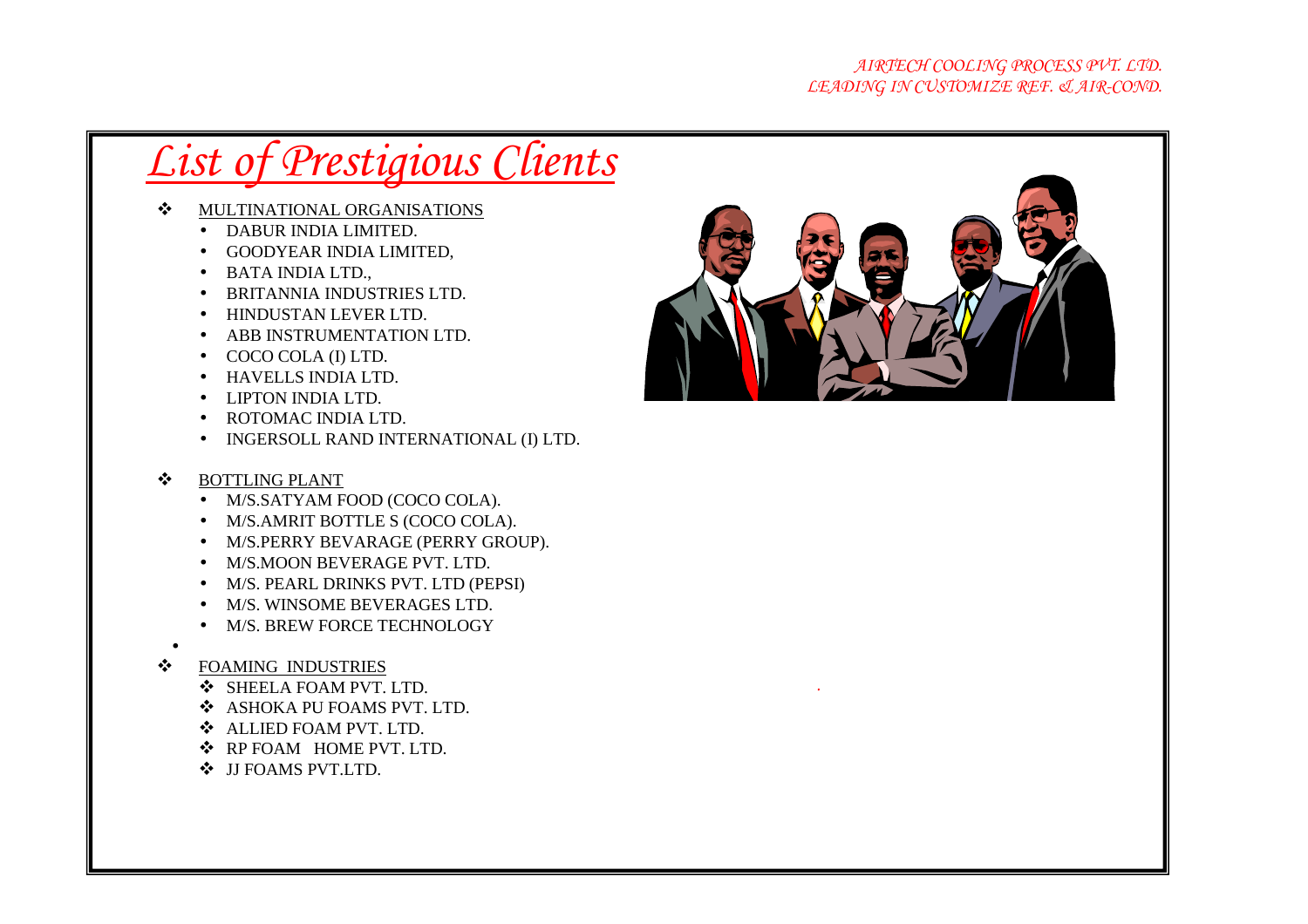- $\cdot$  MULTINATIONAL ORGANISATIONS
	- DABUR INDIA LIMITED.
	- GOODYEAR INDIA LIMITED,
	- BATA INDIA LTD.,
	- BRITANNIA INDUSTRIES LTD.
	- HINDUSTAN LEVER LTD.
	- ABB INSTRUMENTATION LTD.
	- COCO COLA (I) LTD.
	- HAVELLS INDIA LTD.
	- LIPTON INDIA LTD.
	- ROTOMAC INDIA LTD.
	- INGERSOLL RAND INTERNATIONAL (I) LTD.

#### $\cdot$ BOTTLING PLANT

- M/S.SATYAM FOOD (COCO COLA).
- M/S.AMRIT BOTTLE S (COCO COLA).
- M/S.PERRY BEVARAGE (PERRY GROUP).
- M/S.MOON BEVERAGE PVT. LTD.
- M/S. PEARL DRINKS PVT. LTD (PEPSI)
- M/S. WINSOME BEVERAGES LTD.
- M/S. BREW FORCE TECHNOLOGY
- •
- <sup>◆</sup> FOAMING INDUSTRIES
	- ❖ SHEELA FOAM PVT. LTD.<br>↔ а́ а́снока ры боамѕ рут
	- ❖ ASHOKA PU FOAMS PVT. LTD.
	- **◆ ALLIED FOAM PVT. LTD.**<br>◆ RP FOAM HOME PVT I T
	- ❖ RP FOAM HOME PVT. LTD.
	- ❖ JJ FOAMS PVT.LTD.



*.*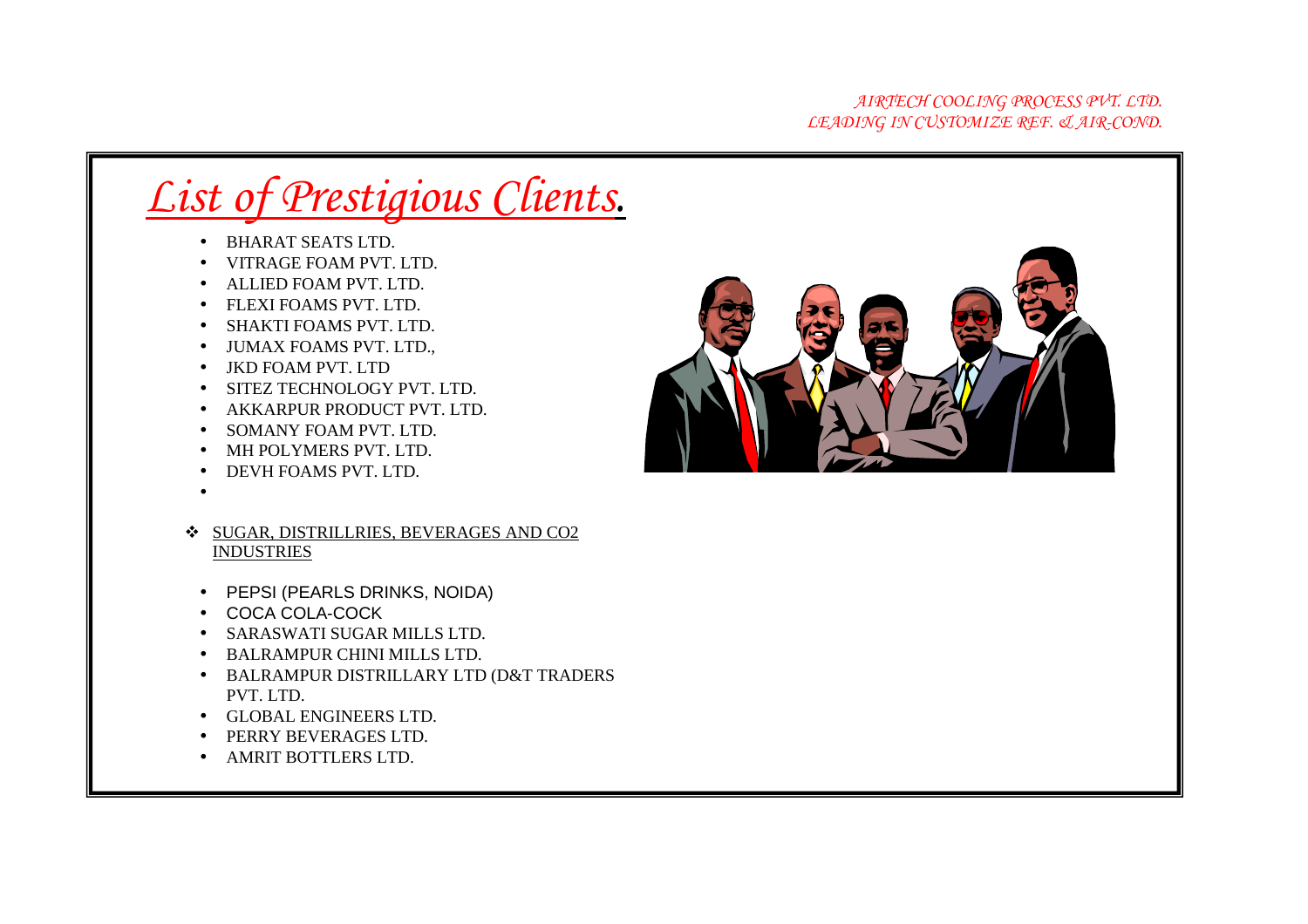- BHARAT SEATS LTD.
- VITRAGE FOAM PVT. LTD.
- ALLIED FOAM PVT. LTD.
- FLEXI FOAMS PVT. LTD.
- SHAKTI FOAMS PVT. LTD.
- JUMAX FOAMS PVT. LTD.,
- JKD FOAM PVT. LTD
- SITEZ TECHNOLOGY PVT. LTD.
- AKKARPUR PRODUCT PVT. LTD.
- SOMANY FOAM PVT. LTD.
- MH POLYMERS PVT. LTD.
- DEVH FOAMS PVT. LTD.
- •
- SUGAR, DISTRILLRIES, BEVERAGES AND CO2 INDUSTRIES
- PEPSI (PEARLS DRINKS, NOIDA)
- COCA COLA-COCK
- SARASWATI SUGAR MILLS LTD.
- BALRAMPUR CHINI MILLS LTD.
- BALRAMPUR DISTRILLARY LTD (D&T TRADERS PVT. LTD.
- GLOBAL ENGINEERS LTD.
- PERRY BEVERAGES LTD.
- AMRIT BOTTLERS LTD.

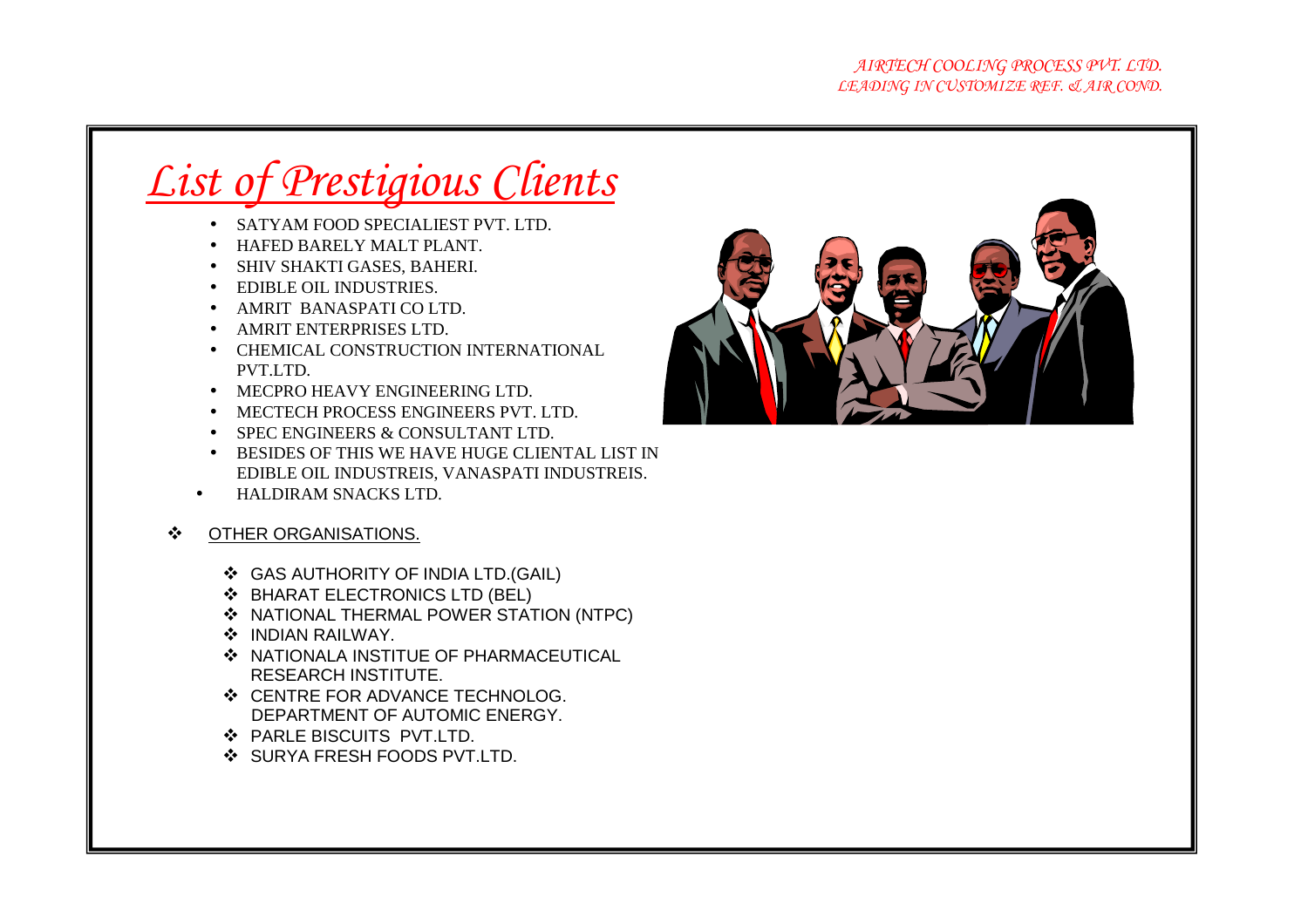- SATYAM FOOD SPECIALIEST PVT. LTD.
- HAFED BARELY MALT PLANT.
- SHIV SHAKTI GASES, BAHERI.
- EDIBLE OIL INDUSTRIES.
- AMRIT BANASPATI CO LTD.
- AMRIT ENTERPRISES LTD.
- CHEMICAL CONSTRUCTION INTERNATIONAL PVT.LTD.
- MECPRO HEAVY ENGINEERING LTD.
- MECTECH PROCESS ENGINEERS PVT. LTD.
- SPEC ENGINEERS & CONSULTANT LTD.
- BESIDES OF THIS WE HAVE HUGE CLIENTAL LIST IN EDIBLE OIL INDUSTREIS, VANASPATI INDUSTREIS.
- •HALDIRAM SNACKS LTD.
- $\mathbf{A}$  OTHER ORGANISATIONS.
	- ❖ GAS AUTHORITY OF INDIA LTD.(GAIL)<br>❖ BHARAT ELECTRONICS LTD (BEL)
	- ❖ BHARAT ELECTRONICS LTD (BEL)<br>↔ NATIONAL THERMAL POWER STAT
	- ❖ NATIONAL THERMAL POWER STATION (NTPC)<br>❖ INDIAN RAILWAY
	- ❖ INDIAN RAILWAY.
	- ❖ INDIAN RAILWAY.<br>❖ NATIONALA INSTITUE OF PHARMACEUTICAL<br>RESEARCH INSTITUTE RESEARCH INSTITUTE.
	- ❖ CENTRE FOR ADVANCE TECHNOLOG.<br>DEPARTMENT OF AUTOMIC ENERGY DEPARTMENT OF AUTOMIC ENERGY.
	- ❖ PARLE BISCUITS PVT.LTD.
	- ❖ PARLE BISCUITS PVT.LTD.<br>❖ SURYA FRESH FOODS PVT.LTD.

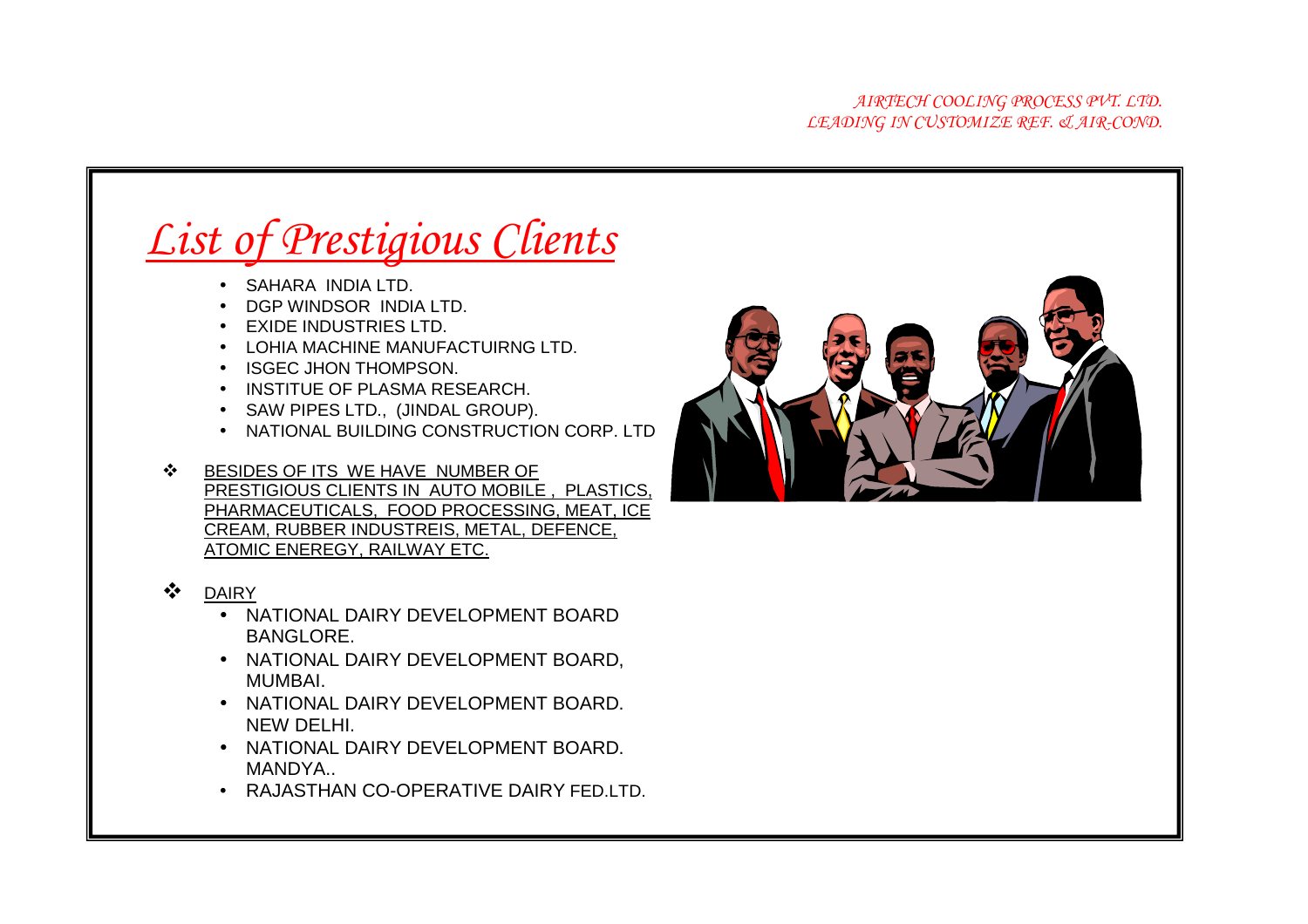- SAHARA INDIA LTD.
- DGP WINDSOR INDIA LTD.
- **EXIDE INDUSTRIES LTD.**
- LOHIA MACHINE MANUFACTUIRNG LTD.
- ISGEC JHON THOMPSON.
- INSTITUE OF PLASMA RESEARCH.
- SAW PIPES LTD., (JINDAL GROUP).
- NATIONAL BUILDING CONSTRUCTION CORP. LTD
- $\mathbf{A}$  BESIDES OF ITS WE HAVE NUMBER OF PRESTIGIOUS CLIENTS IN AUTO MOBILE , PLASTICS, PHARMACEUTICALS, FOOD PROCESSING, MEAT, ICE CREAM, RUBBER INDUSTREIS, METAL, DEFENCE, ATOMIC ENEREGY, RAILWAY ETC.
- $\begin{array}{cc} \text{\large $\stackrel{\color{red}{\bullet}}$} & \text{\large $\underline{\text{DAIRY}}$} \\ \bullet & \text{\large $\underline{\text{N}}$} \end{array}$ 
	- NATIONAL DAIRY DEVELOPMENT BOARD BANGLORE.
	- NATIONAL DAIRY DEVELOPMENT BOARD, MUMBAI.
	- NATIONAL DAIRY DEVELOPMENT BOARD. NEW DELHI.
	- NATIONAL DAIRY DEVELOPMENT BOARD. MANDYA..
	- RAJASTHAN CO-OPERATIVE DAIRY FED.LTD.

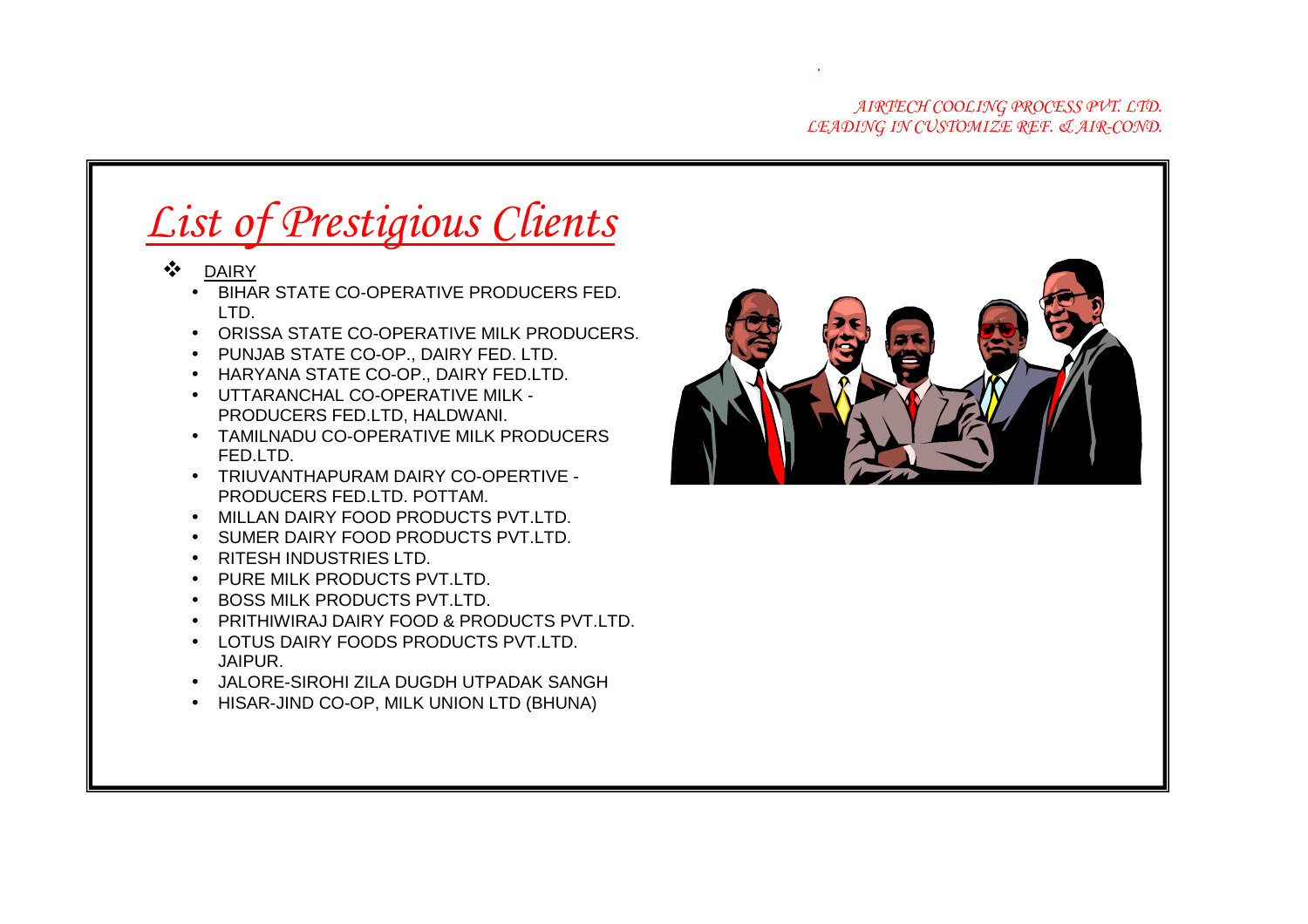#### *AIRTECH COOLING PROCESS PVT. LTD. LEADING IN CUSTOMIZE REF. & AIR-COND.*

## *List of Prestigious Clients*

- **<sup>❖</sup> DAIRY**<br>BIHAI
	- BIHAR STATE CO-OPERATIVE PRODUCERS FED. LTD.
	- ORISSA STATE CO-OPERATIVE MILK PRODUCERS.
	- PUNJAB STATE CO-OP., DAIRY FED. LTD.
	- HARYANA STATE CO-OP., DAIRY FED.LTD.
	- UTTARANCHAL CO-OPERATIVE MILK PRODUCERS FED.LTD, HALDWANI.
	- TAMILNADU CO-OPERATIVE MILK PRODUCERS FED.LTD.
	- TRIUVANTHAPURAM DAIRY CO-OPERTIVE -PRODUCERS FED.LTD. POTTAM.
	- MILLAN DAIRY FOOD PRODUCTS PVT.LTD.
	- SUMER DAIRY FOOD PRODUCTS PVT.LTD.
	- RITESH INDUSTRIES LTD.
	- PURE MILK PRODUCTS PVT.LTD.
	- BOSS MILK PRODUCTS PVT.LTD.
	- PRITHIWIRAJ DAIRY FOOD & PRODUCTS PVT.LTD.
	- LOTUS DAIRY FOODS PRODUCTS PVT.LTD. JAIPUR.
	- JALORE-SIROHI ZILA DUGDH UTPADAK SANGH
	- HISAR-JIND CO-OP, MILK UNION LTD (BHUNA)



*.*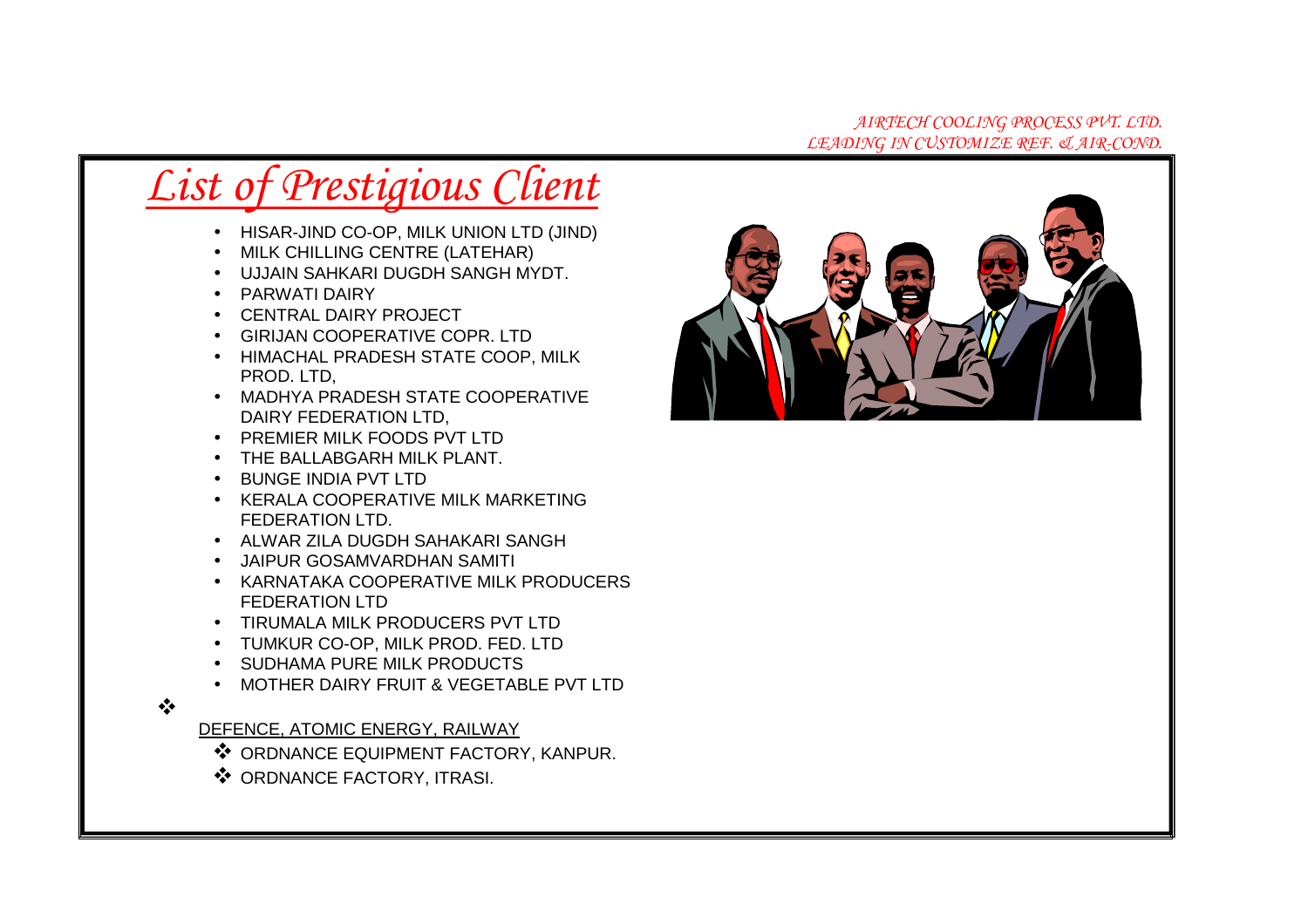#### *AIRTECH COOLING PROCESS PVT. LTD. LEADING IN CUSTOMIZE REF. & AIR-COND.*

# *List of Prestigious Client*

- HISAR-JIND CO-OP, MILK UNION LTD (JIND)
- MILK CHILLING CENTRE (LATEHAR)
- UJJAIN SAHKARI DUGDH SANGH MYDT.
- PARWATI DAIRY
- CENTRAL DAIRY PROJECT
- GIRIJAN COOPERATIVE COPR. LTD
- HIMACHAL PRADESH STATE COOP, MILK PROD. LTD,
- MADHYA PRADESH STATE COOPERATIVE DAIRY FEDERATION LTD,
- PREMIER MILK FOODS PVT LTD
- THE BALLABGARH MILK PLANT.
- BUNGE INDIA PVT LTD
- KERALA COOPERATIVE MILK MARKETING FEDERATION LTD.
- ALWAR ZILA DUGDH SAHAKARI SANGH
- JAIPUR GOSAMVARDHAN SAMITI
- KARNATAKA COOPERATIVE MILK PRODUCERS FEDERATION LTD
- TIRUMALA MILK PRODUCERS PVT LTD
- TUMKUR CO-OP, MILK PROD. FED. LTD
- SUDHAMA PURE MILK PRODUCTS
- MOTHER DAIRY FRUIT & VEGETABLE PVT LTD

#### $\frac{1}{2}$

DEFENCE, ATOMIC ENERGY, RAILWAY

- ❖ ORDNANCE EQUIPMENT FACTORY, KANPUR.<br>❖ ORDNANCE EACTORY ITRASI
- ❖ ORDNANCE FACTORY, ITRASI.

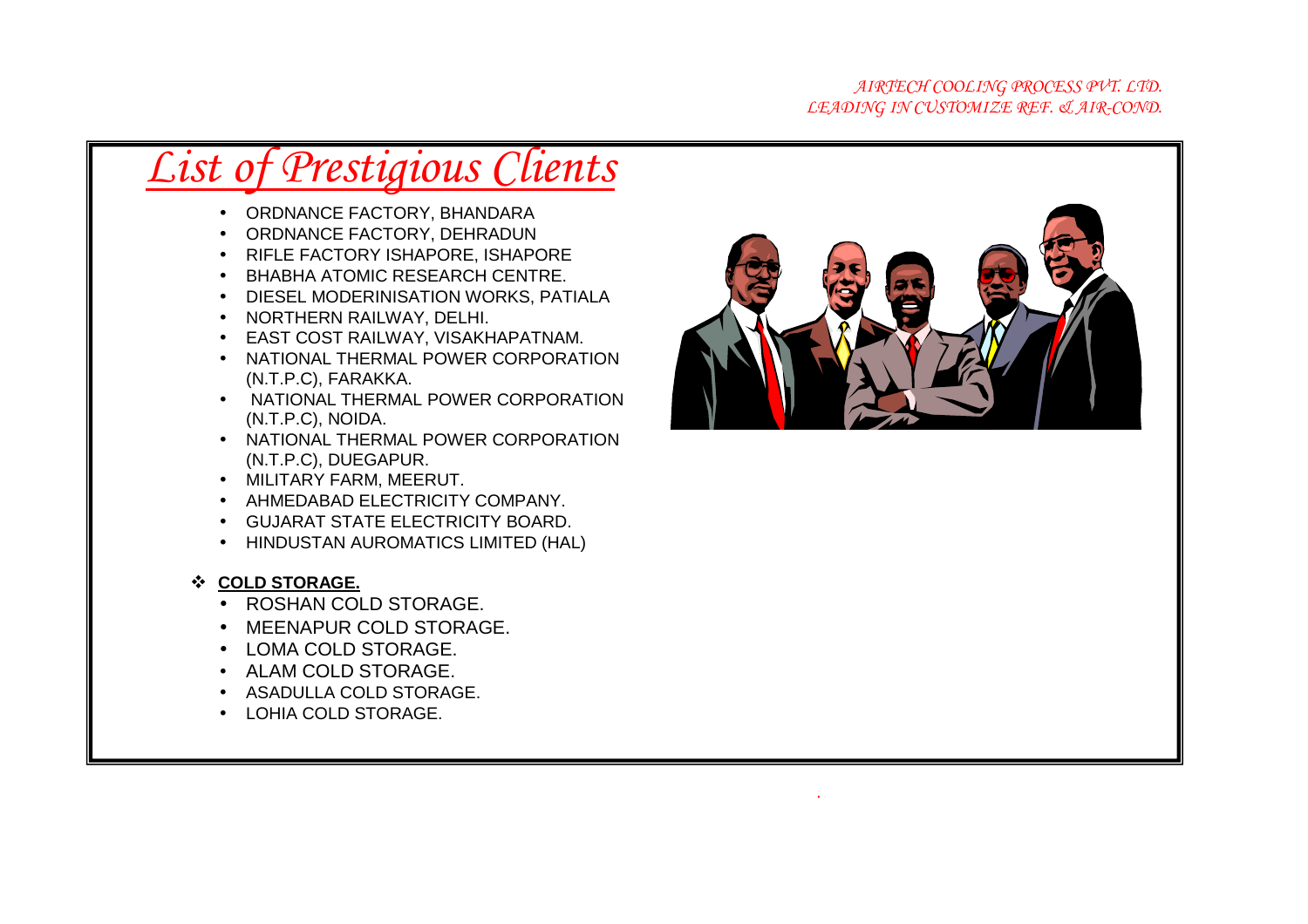#### *AIRTECH COOLING PROCESS PVT. LTD. LEADING IN CUSTOMIZE REF. & AIR-COND.*

### *List of Prestigious Clients*

- ORDNANCE FACTORY, BHANDARA
- ORDNANCE FACTORY, DEHRADUN
- RIFLE FACTORY ISHAPORE, ISHAPORE
- BHABHA ATOMIC RESEARCH CENTRE.
- DIESEL MODERINISATION WORKS, PATIALA
- NORTHERN RAILWAY, DELHI.
- EAST COST RAILWAY, VISAKHAPATNAM.
- NATIONAL THERMAL POWER CORPORATION (N.T.P.C), FARAKKA.
- NATIONAL THERMAL POWER CORPORATION (N.T.P.C), NOIDA.
- NATIONAL THERMAL POWER CORPORATION (N.T.P.C), DUEGAPUR.
- MILITARY FARM, MEERUT.
- AHMEDABAD ELECTRICITY COMPANY.
- GUJARAT STATE ELECTRICITY BOARD.
- HINDUSTAN AUROMATICS LIMITED (HAL)
- **<sup>❖</sup> COLD STORAGE.**<br>■● POSHAN COL
	- ROSHAN COLD STORAGE.
	- MEENAPUR COLD STORAGE.
	- LOMA COLD STORAGE.
	- ALAM COLD STORAGE.
	- ASADULLA COLD STORAGE.
	- LOHIA COLD STORAGE.



*.*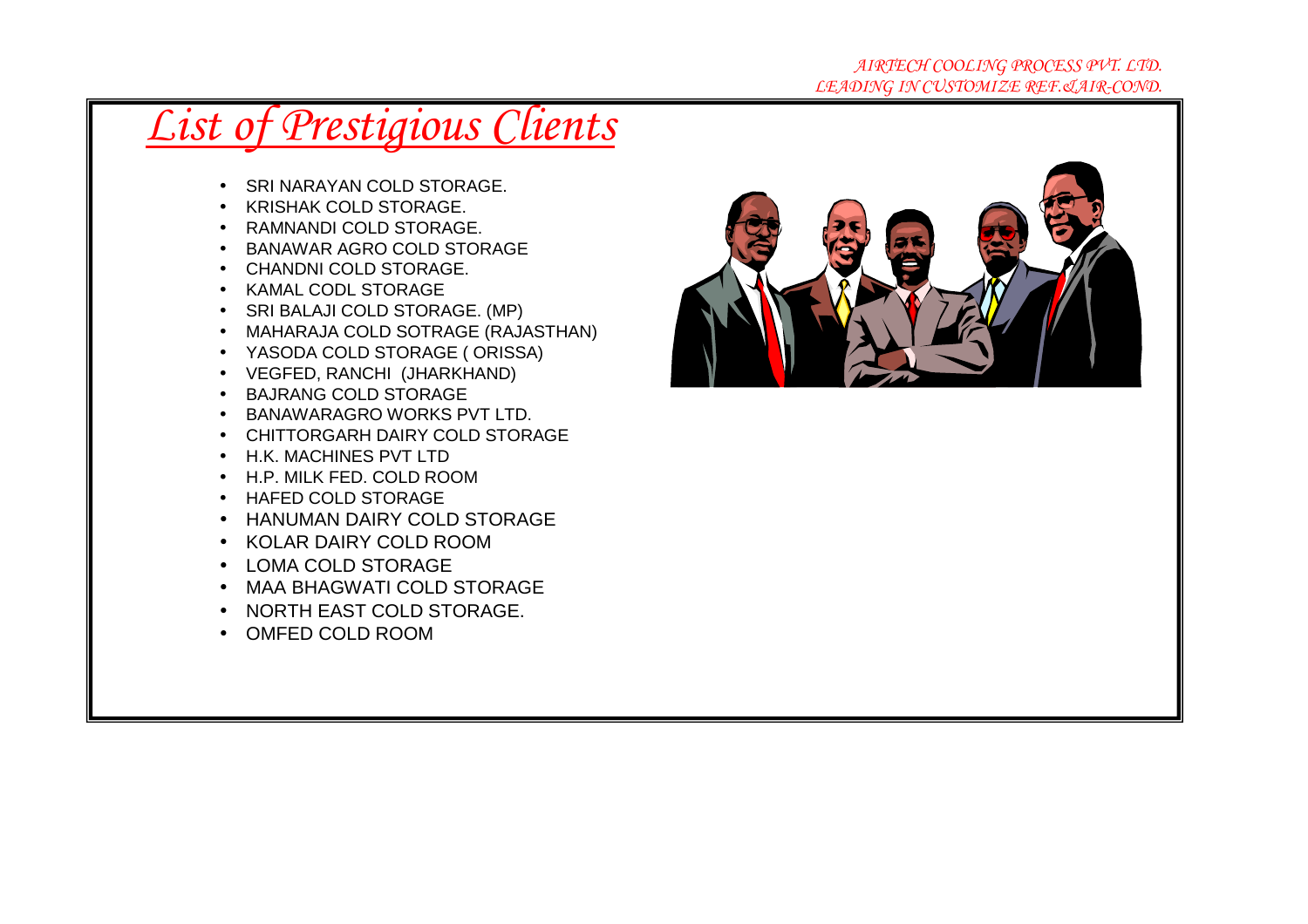#### *AIRTECH COOLING PROCESS PVT. LTD. LEADING IN CUSTOMIZE REF.&AIR-COND.*

- SRI NARAYAN COLD STORAGE.
- KRISHAK COLD STORAGE.
- RAMNANDI COLD STORAGE.
- BANAWAR AGRO COLD STORAGE
- CHANDNI COLD STORAGE.
- KAMAL CODL STORAGE
- SRI BALAJI COLD STORAGE. (MP)
- MAHARAJA COLD SOTRAGE (RAJASTHAN)
- YASODA COLD STORAGE ( ORISSA)
- VEGFED, RANCHI (JHARKHAND)
- BAJRANG COLD STORAGE
- BANAWARAGRO WORKS PVT LTD.
- CHITTORGARH DAIRY COLD STORAGE
- H.K. MACHINES PVT LTD
- H.P. MILK FED. COLD ROOM
- HAFED COLD STORAGE
- HANUMAN DAIRY COLD STORAGE
- KOLAR DAIRY COLD ROOM
- LOMA COLD STORAGE
- MAA BHAGWATI COLD STORAGE
- NORTH EAST COLD STORAGE.
- OMFED COLD ROOM

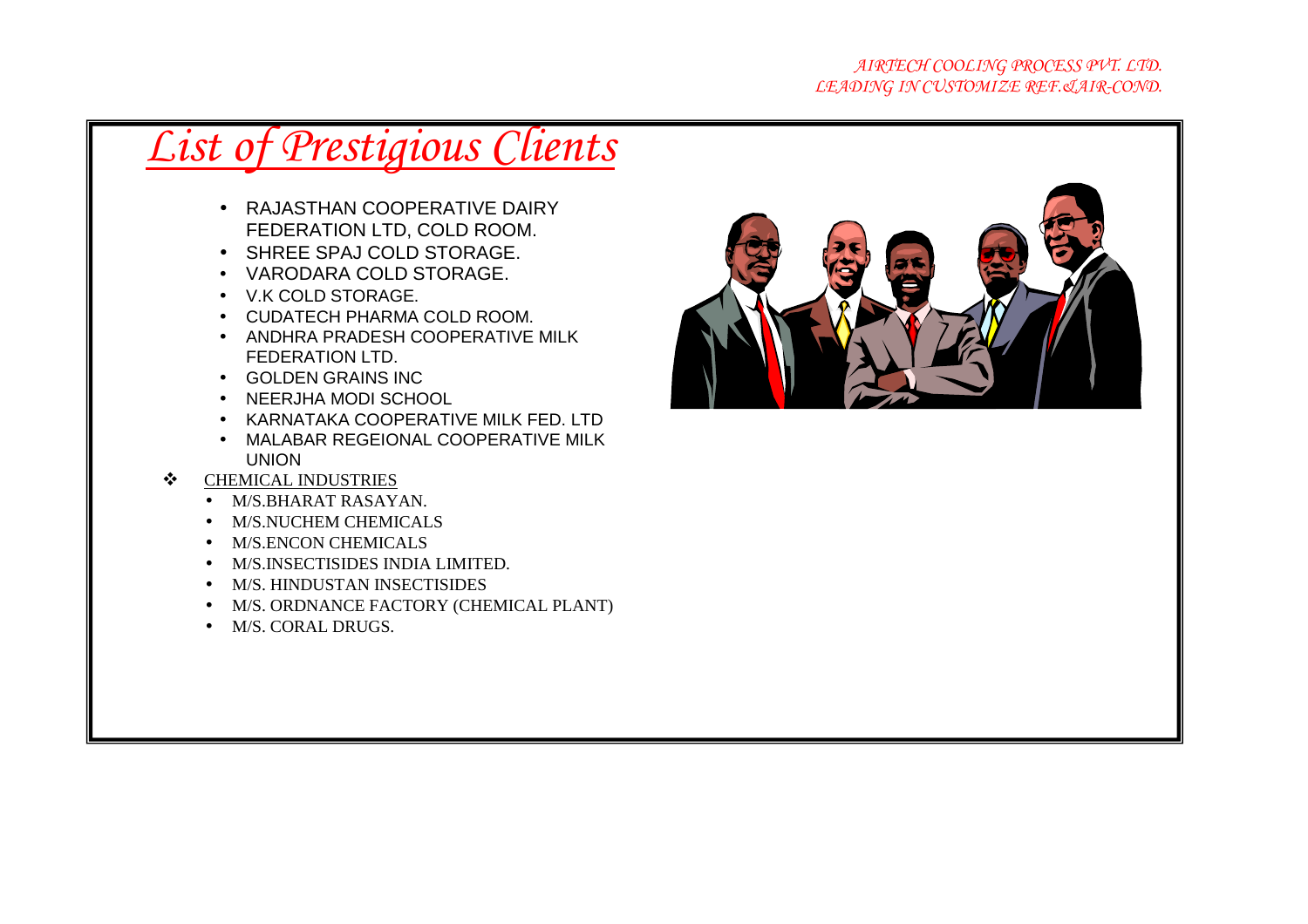- RAJASTHAN COOPERATIVE DAIRY FEDERATION LTD, COLD ROOM.
- SHREE SPAJ COLD STORAGE.
- VARODARA COLD STORAGE.
- V.K COLD STORAGE.
- CUDATECH PHARMA COLD ROOM.
- ANDHRA PRADESH COOPERATIVE MILK FEDERATION LTD.
- GOLDEN GRAINS INC
- NEERJHA MODI SCHOOL
- KARNATAKA COOPERATIVE MILK FED. LTD
- MALABAR REGEIONAL COOPERATIVE MILK UNION
- $\bigcirc$  CHEMICAL INDUSTRIES  $\frac{1}{2}$ 
	- M/S.BHARAT RASAYAN.
	- M/S.NUCHEM CHEMICALS
	- M/S.ENCON CHEMICALS
	- M/S.INSECTISIDES INDIA LIMITED.
	- M/S. HINDUSTAN INSECTISIDES
	- M/S. ORDNANCE FACTORY (CHEMICAL PLANT)
	- M/S. CORAL DRUGS.